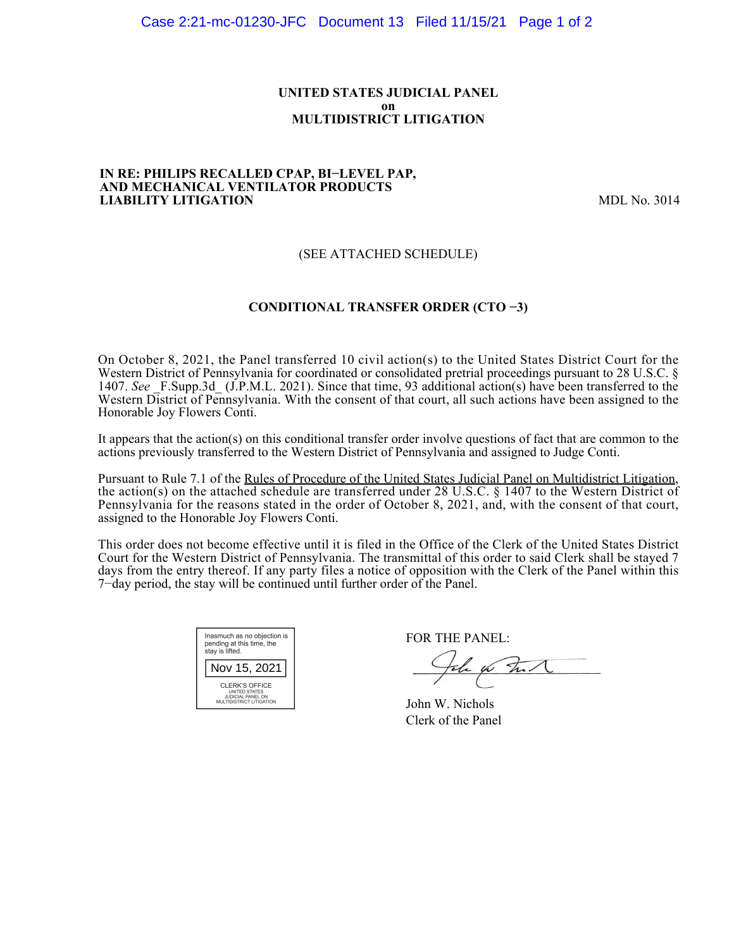### **UNITED STATES JUDICIAL PANEL on MULTIDISTRICT LITIGATION**

#### **IN RE: PHILIPS RECALLED CPAP, BI−LEVEL PAP, AND MECHANICAL VENTILATOR PRODUCTS LIABILITY LITIGATION** MDL No. 3014

## (SEE ATTACHED SCHEDULE)

## **CONDITIONAL TRANSFER ORDER (CTO −3)**

On October 8, 2021, the Panel transferred 10 civil action(s) to the United States District Court for the Western District of Pennsylvania for coordinated or consolidated pretrial proceedings pursuant to 28 U.S.C. § 1407. *See* \_F.Supp.3d\_ (J.P.M.L. 2021). Since that time, 93 additional action(s) have been transferred to the Western District of Pennsylvania. With the consent of that court, all such actions have been assigned to the Honorable Joy Flowers Conti.

It appears that the action(s) on this conditional transfer order involve questions of fact that are common to the actions previously transferred to the Western District of Pennsylvania and assigned to Judge Conti.

Pursuant to Rule 7.1 of the Rules of Procedure of the United States Judicial Panel on Multidistrict Litigation, the action(s) on the attached schedule are transferred under 28 U.S.C. § 1407 to the Western District of Pennsylvania for the reasons stated in the order of October 8, 2021, and, with the consent of that court, assigned to the Honorable Joy Flowers Conti.

This order does not become effective until it is filed in the Office of the Clerk of the United States District Court for the Western District of Pennsylvania. The transmittal of this order to said Clerk shall be stayed 7 days from the entry thereof. If any party files a notice of opposition with the Clerk of the Panel within this 7−day period, the stay will be continued until further order of the Panel.

| Inasmuch as no objection is<br>pending at this time, the<br>stay is lifted.             |  |  |  |  |
|-----------------------------------------------------------------------------------------|--|--|--|--|
| Nov 15, 2021                                                                            |  |  |  |  |
| CLERK'S OFFICE<br><b>UNITED STATES</b><br>JUDICIAL PANEL ON<br>MULTIDISTRICT LITIGATION |  |  |  |  |

FOR THE PANEL:

John for Fund

John W. Nichols Clerk of the Panel